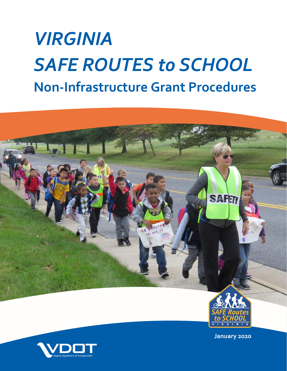# *VIRGINIA SAFE ROUTES to SCHOOL* **Non-Infrastructure Grant Procedures**



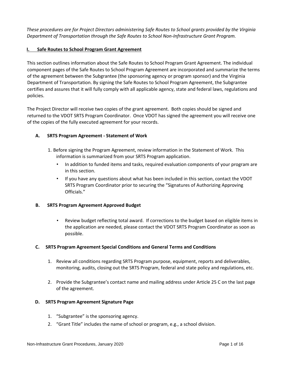*These procedures are for Project Directors administering Safe Routes to School grants provided by the Virginia Department of Transportation through the Safe Routes to School Non-Infrastructure Grant Program.* 

#### **I. Safe Routes to School Program Grant Agreement**

This section outlines information about the Safe Routes to School Program Grant Agreement. The individual component pages of the Safe Routes to School Program Agreement are incorporated and summarize the terms of the agreement between the Subgrantee (the sponsoring agency or program sponsor) and the Virginia Department of Transportation. By signing the Safe Routes to School Program Agreement, the Subgrantee certifies and assures that it will fully comply with all applicable agency, state and federal laws, regulations and policies.

The Project Director will receive two copies of the grant agreement. Both copies should be signed and returned to the VDOT SRTS Program Coordinator. Once VDOT has signed the agreement you will receive one of the copies of the fully executed agreement for your records.

#### **A. SRTS Program Agreement - Statement of Work**

- 1. Before signing the Program Agreement, review information in the Statement of Work. This information is summarized from your SRTS Program application.
	- In addition to funded items and tasks, required evaluation components of your program are in this section.
	- If you have any questions about what has been included in this section, contact the VDOT SRTS Program Coordinator prior to securing the "Signatures of Authorizing Approving Officials."

#### **B. SRTS Program Agreement Approved Budget**

• Review budget reflecting total award. If corrections to the budget based on eligible items in the application are needed, please contact the VDOT SRTS Program Coordinator as soon as possible.

#### **C. SRTS Program Agreement Special Conditions and General Terms and Conditions**

- 1. Review all conditions regarding SRTS Program purpose, equipment, reports and deliverables, monitoring, audits, closing out the SRTS Program, federal and state policy and regulations, etc.
- 2. Provide the Subgrantee's contact name and mailing address under Article 25 C on the last page of the agreement.

#### **D. SRTS Program Agreement Signature Page**

- 1. "Subgrantee" is the sponsoring agency.
- 2. "Grant Title" includes the name of school or program, e.g., a school division.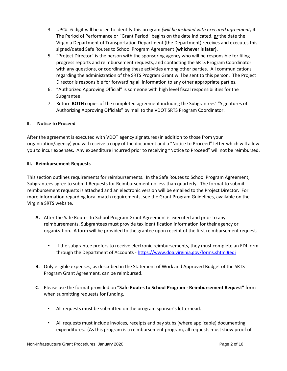- 3. UPC# -6-digit will be used to identify this program *(will be included with executed agreement)* 4. The Period of Performance or "Grant Period" begins on the date indicated, *or* the date the Virginia Department of Transportation Department (the Department) receives and executes this signed/dated Safe Routes to School Program Agreement **(whichever is later)**.
- 5. "Project Director" is the person with the sponsoring agency who will be responsible for filing progress reports and reimbursement requests, and contacting the SRTS Program Coordinator with any questions, or coordinating these activities among other parties. All communications regarding the administration of the SRTS Program Grant will be sent to this person. The Project Director is responsible for forwarding all information to any other appropriate parties.
- 6. "Authorized Approving Official" is someone with high level fiscal responsibilities for the Subgrantee.
- 7. Return **BOTH** copies of the completed agreement including the Subgrantees' "Signatures of Authorizing Approving Officials" by mail to the VDOT SRTS Program Coordinator.

#### **II. Notice to Proceed**

After the agreement is executed with VDOT agency signatures (in addition to those from your organization/agency) you will receive a copy of the document and a "Notice to Proceed" letter which will allow you to incur expenses. Any expenditure incurred prior to receiving "Notice to Proceed" will not be reimbursed.

#### **III. Reimbursement Requests**

This section outlines requirements for reimbursements. In the Safe Routes to School Program Agreement, Subgrantees agree to submit Requests for Reimbursement no less than quarterly. The format to submit reimbursement requests is attached and an electronic version will be emailed to the Project Director. For more information regarding local match requirements, see the Grant Program Guidelines, available on the Virginia SRTS website.

- **A.** After the Safe Routes to School Program Grant Agreement is executed and prior to any reimbursements, Subgrantees must provide tax identification information for their agency or organization. A form will be provided to the grantee upon receipt of the first reimbursement request.
	- If the subgrantee prefers to receive electronic reimbursements, they must complete an EDI form through the Department of Accounts - <https://www.doa.virginia.gov/forms.shtml#edi>
- **B.** Only eligible expenses, as described in the Statement of Work and Approved Budget of the SRTS Program Grant Agreement, can be reimbursed.
- **C.** Please use the format provided on **"Safe Routes to School Program - Reimbursement Request"** form when submitting requests for funding.
	- All requests must be submitted on the program sponsor's letterhead.
	- All requests must include invoices, receipts and pay stubs (where applicable) documenting expenditures. (As this program is a reimbursement program, all requests must show proof of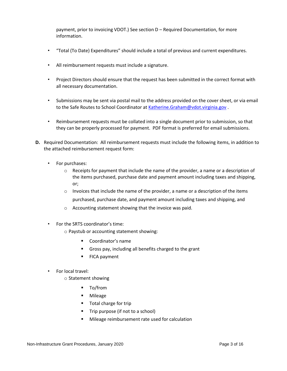payment, prior to invoicing VDOT.) See section D – Required Documentation, for more information.

- "Total (To Date) Expenditures" should include a total of previous and current expenditures.
- All reimbursement requests must include a signature.
- Project Directors should ensure that the request has been submitted in the correct format with all necessary documentation.
- Submissions may be sent via postal mail to the address provided on the cover sheet, or via email to the Safe Routes to School Coordinator at Katherine.Graham@vdot.virginia.gov.
- Reimbursement requests must be collated into a single document prior to submission, so that they can be properly processed for payment. PDF format is preferred for email submissions.
- **D.** Required Documentation: All reimbursement requests must include the following items, in addition to the attached reimbursement request form:
	- For purchases:
		- $\circ$  Receipts for payment that include the name of the provider, a name or a description of the items purchased, purchase date and payment amount including taxes and shipping, or;
		- $\circ$  Invoices that include the name of the provider, a name or a description of the items purchased, purchase date, and payment amount including taxes and shipping, and
		- o Accounting statement showing that the invoice was paid.
	- For the SRTS coordinator's time:
		- o Paystub or accounting statement showing:
			- Coordinator's name
			- Gross pay, including all benefits charged to the grant
			- FICA payment
	- For local travel:
		- o Statement showing
			- To/from
			- Mileage
			- Total charge for trip
			- Trip purpose (if not to a school)
			- Mileage reimbursement rate used for calculation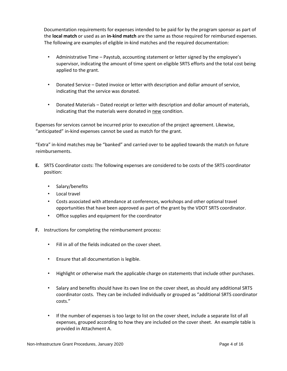Documentation requirements for expenses intended to be paid for by the program sponsor as part of the **local match** or used as an **in-kind match** are the same as those required for reimbursed expenses. The following are examples of eligible in-kind matches and the required documentation:

- Administrative Time Paystub, accounting statement or letter signed by the employee's supervisor, indicating the amount of time spent on eligible SRTS efforts and the total cost being applied to the grant.
- Donated Service Dated invoice or letter with description and dollar amount of service, indicating that the service was donated.
- Donated Materials Dated receipt or letter with description and dollar amount of materials, indicating that the materials were donated in new condition.

Expenses for services cannot be incurred prior to execution of the project agreement. Likewise, "anticipated" in-kind expenses cannot be used as match for the grant.

"Extra" in-kind matches may be "banked" and carried over to be applied towards the match on future reimbursements.

- **E.** SRTS Coordinator costs: The following expenses are considered to be costs of the SRTS coordinator position:
	- Salary/benefits
	- Local travel
	- Costs associated with attendance at conferences, workshops and other optional travel opportunities that have been approved as part of the grant by the VDOT SRTS coordinator.
	- Office supplies and equipment for the coordinator
- **F.** Instructions for completing the reimbursement process:
	- Fill in all of the fields indicated on the cover sheet.
	- Ensure that all documentation is legible.
	- Highlight or otherwise mark the applicable charge on statements that include other purchases.
	- Salary and benefits should have its own line on the cover sheet, as should any additional SRTS coordinator costs. They can be included individually or grouped as "additional SRTS coordinator costs."
	- If the number of expenses is too large to list on the cover sheet, include a separate list of all expenses, grouped according to how they are included on the cover sheet. An example table is provided in Attachment A.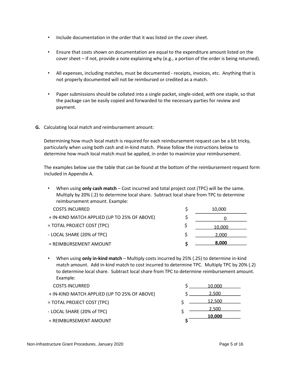- Include documentation in the order that it was listed on the cover sheet.
- Ensure that costs shown on documentation are equal to the expenditure amount listed on the cover sheet – if not, provide a note explaining why (e.g., a portion of the order is being returned).
- All expenses, including matches, must be documented receipts, invoices, etc. Anything that is not properly documented will not be reimbursed or credited as a match.
- Paper submissions should be collated into a single packet, single-sided, with one staple, so that the package can be easily copied and forwarded to the necessary parties for review and payment.
- **G.** Calculating local match and reimbursement amount:

Determining how much local match is required for each reimbursement request can be a bit tricky, particularly when using both cash and in-kind match. Please follow the instructions below to determine how much local match must be applied, in order to maximize your reimbursement.

The examples below use the table that can be found at the bottom of the reimbursement request form included in Appendix A.

• When using **only cash match** – Cost incurred and total project cost (TPC) will be the same. Multiply by 20% (.2) to determine local share. Subtract local share from TPC to determine reimbursement amount. Example:

| <b>COSTS INCURRED</b>                        | 10.000 |
|----------------------------------------------|--------|
| + IN-KIND MATCH APPLIED (UP TO 25% OF ABOVE) |        |
| = TOTAL PROJECT COST (TPC)                   | 10.000 |
| - LOCAL SHARE (20% of TPC)                   | 2.000  |
| $=$ REIMBURSEMENT AMOUNT                     | 8.000  |

- When using **only in-kind match** Multiply costs incurred by 25% (.25) to determine in-kind match amount. Add in-kind match to cost incurred to determine TPC. Multiply TPC by 20% (.2) to determine local share. Subtract local share from TPC to determine reimbursement amount. Example:
- **COSTS INCURRED** + IN-KIND MATCH APPLIED (UP TO 25% OF ABOVE) \$ = TOTAL PROJECT COST (TPC) \$ - LOCAL SHARE (20% of TPC) = REIMBURSEMENT AMOUNT **\$**   $$ \_10,000$  $$ \_ 2,500$  $5 - 12,500$  $\frac{2,500}{ }$ **10,000**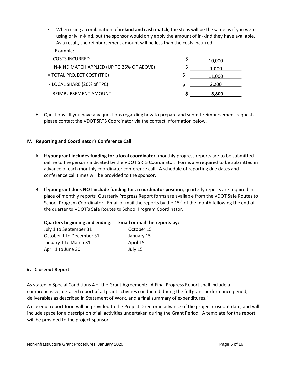• When using a combination of **in-kind and cash match**, the steps will be the same as if you were using only in-kind, but the sponsor would only apply the amount of in-kind they have available. As a result, the reimbursement amount will be less than the costs incurred. Example:

| <b>COSTS INCURRED</b>                        | 10,000 |
|----------------------------------------------|--------|
| + IN-KIND MATCH APPLIED (UP TO 25% OF ABOVE) | 1.000  |
| = TOTAL PROJECT COST (TPC)                   | 11.000 |
| - LOCAL SHARE (20% of TPC)                   | 2.200  |
| $=$ REIMBURSEMENT AMOUNT                     | 8.800  |

**H.** Questions. If you have any questions regarding how to prepare and submit reimbursement requests, please contact the VDOT SRTS Coordinator via the contact information below.

#### **IV. Reporting and Coordinator's Conference Call**

- A. **If your grant includes funding for a local coordinator,** monthly progress reports are to be submitted online to the persons indicated by the VDOT SRTS Coordinator. Forms are required to be submitted in advance of each monthly coordinator conference call. A schedule of reporting due dates and conference call times will be provided to the sponsor.
- B. **If your grant does NOT include funding for a coordinator position**, quarterly reports are required in place of monthly reports. Quarterly Progress Report forms are available from the VDOT Safe Routes to School Program Coordinator. Email or mail the reports by the 15<sup>th</sup> of the month following the end of the quarter to VDOT's Safe Routes to School Program Coordinator.

| <b>Quarters beginning and ending:</b> | Email or mail the reports by: |
|---------------------------------------|-------------------------------|
| July 1 to September 31                | October 15                    |
| October 1 to December 31              | January 15                    |
| January 1 to March 31                 | April 15                      |
| April 1 to June 30                    | July 15                       |

#### **V. Closeout Report**

As stated in Special Conditions 4 of the Grant Agreement: "A Final Progress Report shall include a comprehensive, detailed report of all grant activities conducted during the full grant performance period, deliverables as described in Statement of Work, and a final summary of expenditures."

A closeout report form will be provided to the Project Director in advance of the project closeout date, and will include space for a description of all activities undertaken during the Grant Period. A template for the report will be provided to the project sponsor.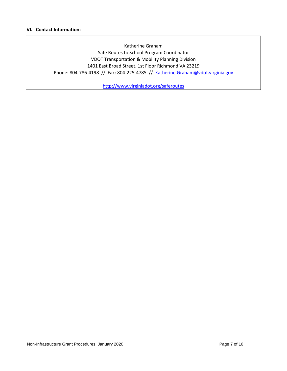#### **VI. Contact Information:**

Katherine Graham Safe Routes to School Program Coordinator VDOT Transportation & Mobility Planning Division 1401 East Broad Street, 1st Floor Richmond VA 23219 Phone: 804-786-4198 // Fax: 804-225-4785 // Katherine.Graham@vdot.virginia.gov

<http://www.virginiadot.org/saferoutes>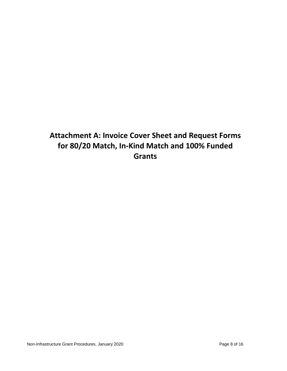## **Attachment A: Invoice Cover Sheet and Request Forms for 80/20 Match, In-Kind Match and 100% Funded Grants**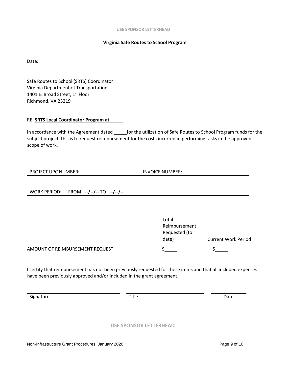#### **Virginia Safe Routes to School Program**

Date:

Safe Routes to School (SRTS) Coordinator Virginia Department of Transportation 1401 E. Broad Street, 1st Floor Richmond, VA 23219

#### RE: **SRTS Local Coordinator Program at**

In accordance with the Agreement dated \_\_\_\_\_\_ for the utilization of Safe Routes to School Program funds for the subject project, this is to request reimbursement for the costs incurred in performing tasks in the approved scope of work.

| <b>PROJECT UPC NUMBER:</b> |  |  |
|----------------------------|--|--|
|----------------------------|--|--|

**INVOICE NUMBER:** 

WORK PERIOD: FROM **--/--/--** TO **--/--/--**

|                                 | Total         |                            |
|---------------------------------|---------------|----------------------------|
|                                 | Reimbursement |                            |
|                                 | Requested (to |                            |
|                                 | date)         | <b>Current Work Period</b> |
| AMOUNT OF REIMBURSEMENT REQUEST |               |                            |

I certify that reimbursement has not been previously requested for these items and that all included expenses have been previously approved and/or included in the grant agreement.

Signature **Date** Date **Title Contract Contract Date** 

#### **USE SPONSOR LETTERHEAD**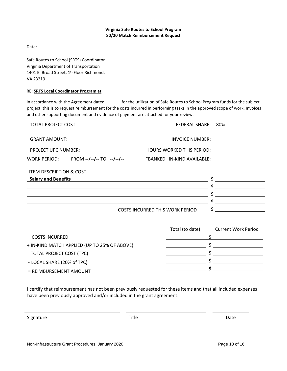#### **Virginia Safe Routes to School Program 80/20 Match Reimbursement Request**

Date:

Safe Routes to School (SRTS) Coordinator Virginia Department of Transportation 1401 E. Broad Street, 1<sup>st</sup> Floor Richmond, VA 23219

#### RE: **SRTS Local Coordinator Program at**

In accordance with the Agreement dated \_\_\_\_\_\_ for the utilization of Safe Routes to School Program funds for the subject project, this is to request reimbursement for the costs incurred in performing tasks in the approved scope of work. Invoices and other supporting document and evidence of payment are attached for your review.

|                                    | <b>TOTAL PROJECT COST:</b><br>FEDERAL SHARE: 80% |                                        |                            |  |
|------------------------------------|--------------------------------------------------|----------------------------------------|----------------------------|--|
| <b>GRANT AMOUNT:</b>               |                                                  | <b>INVOICE NUMBER:</b>                 |                            |  |
| PROJECT UPC NUMBER:                |                                                  | <b>HOURS WORKED THIS PERIOD:</b>       |                            |  |
| WORK PERIOD:                       | $FROM$ --/--/-- TO --/--/--                      | "BANKED" IN-KIND AVAILABLE:            |                            |  |
| <b>ITEM DESCRIPTION &amp; COST</b> |                                                  |                                        |                            |  |
| <b>Salary and Benefits</b>         |                                                  |                                        |                            |  |
|                                    |                                                  |                                        | Ś                          |  |
|                                    |                                                  |                                        | Ś                          |  |
|                                    |                                                  |                                        |                            |  |
|                                    |                                                  | <b>COSTS INCURRED THIS WORK PERIOD</b> | \$                         |  |
|                                    |                                                  | Total (to date)                        | <b>Current Work Period</b> |  |
| <b>COSTS INCURRED</b>              |                                                  |                                        |                            |  |
|                                    | + IN-KIND MATCH APPLIED (UP TO 25% OF ABOVE)     |                                        |                            |  |
| = TOTAL PROJECT COST (TPC)         |                                                  |                                        |                            |  |
| - LOCAL SHARE (20% of TPC)         |                                                  |                                        |                            |  |
| DEIMADU DEEMAENT ANAQUINT          |                                                  |                                        | \$                         |  |

= REIMBURSEMENT AMOUNT

I certify that reimbursement has not been previously requested for these items and that all included expenses have been previously approved and/or included in the grant agreement.

Signature Date Date Communications of the Communication of the Date Date Date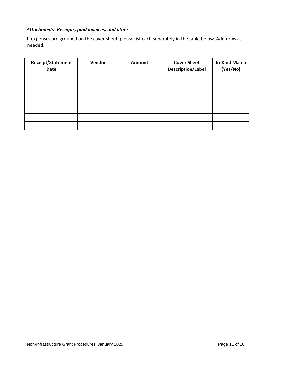### *Attachments- Receipts, paid invoices, and other*

If expenses are grouped on the cover sheet, please list each separately in the table below. Add rows as needed.

| <b>Receipt/Statement</b><br><b>Date</b> | Vendor | Amount | <b>Cover Sheet</b><br>Description/Label | <b>In-Kind Match</b><br>(Yes/No) |
|-----------------------------------------|--------|--------|-----------------------------------------|----------------------------------|
|                                         |        |        |                                         |                                  |
|                                         |        |        |                                         |                                  |
|                                         |        |        |                                         |                                  |
|                                         |        |        |                                         |                                  |
|                                         |        |        |                                         |                                  |
|                                         |        |        |                                         |                                  |
|                                         |        |        |                                         |                                  |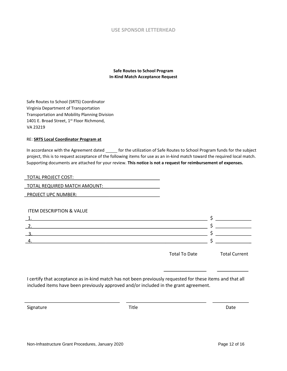#### **USE SPONSOR LETTERHEAD**

**Safe Routes to School Program In-Kind Match Acceptance Request** 

Safe Routes to School (SRTS) Coordinator Virginia Department of Transportation Transportation and Mobility Planning Division 1401 E. Broad Street, 1<sup>st</sup> Floor Richmond, VA 23219

#### RE: **SRTS Local Coordinator Program at**

In accordance with the Agreement dated \_\_\_\_\_ for the utilization of Safe Routes to School Program funds for the subject project, this is to request acceptance of the following items for use as an in-kind match toward the required local match. Supporting documents are attached for your review. **This notice is not a request for reimbursement of expenses.**

| TOTAL PROJECT COST:          |
|------------------------------|
| TOTAL REQUIRED MATCH AMOUNT: |
| <b>PROJECT UPC NUMBER:</b>   |

#### ITEM DESCRIPTION & VALUE

Total To Date Total Current

I certify that acceptance as in-kind match has not been previously requested for these items and that all included items have been previously approved and/or included in the grant agreement.

Signature Date Date Communications of the Communication of the Date Date Date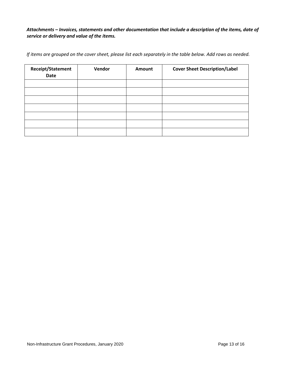#### *Attachments – Invoices, statements and other documentation that include a description of the items, date of service or delivery and value of the items.*

*If items are grouped on the cover sheet, please list each separately in the table below. Add rows as needed.* 

| Receipt/Statement<br><b>Date</b> | Vendor | Amount | <b>Cover Sheet Description/Label</b> |
|----------------------------------|--------|--------|--------------------------------------|
|                                  |        |        |                                      |
|                                  |        |        |                                      |
|                                  |        |        |                                      |
|                                  |        |        |                                      |
|                                  |        |        |                                      |
|                                  |        |        |                                      |
|                                  |        |        |                                      |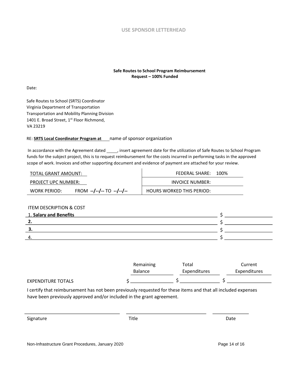

#### **Safe Routes to School Program Reimbursement Request – 100% Funded**

Date:

Safe Routes to School (SRTS) Coordinator Virginia Department of Transportation Transportation and Mobility Planning Division 1401 E. Broad Street, 1<sup>st</sup> Floor Richmond, VA 23219

#### RE: **SRTS Local Coordinator Program at** name of sponsor organization

In accordance with the Agreement dated \_\_\_\_\_, insert agreement date for the utilization of Safe Routes to School Program funds for the subject project, this is to request reimbursement for the costs incurred in performing tasks in the approved scope of work. Invoices and other supporting document and evidence of payment are attached for your review.

| TOTAL GRANT AMOUNT:        |                         | FEDERAL SHARE:                   | 100% |
|----------------------------|-------------------------|----------------------------------|------|
| <b>PROJECT UPC NUMBER:</b> |                         | INVOICE NUMBER:                  |      |
| WORK PERIOD:               | FROM $-/-/-$ TO $-/-/-$ | <b>HOURS WORKED THIS PERIOD:</b> |      |

#### ITEM DESCRIPTION & COST

| 1. Salary and Benefits |  |
|------------------------|--|
| . .                    |  |
|                        |  |
|                        |  |

|                           | Remaining      | Total               | Current             |
|---------------------------|----------------|---------------------|---------------------|
|                           | <b>Balance</b> | <b>Expenditures</b> | <b>Expenditures</b> |
| <b>EXPENDITURE TOTALS</b> |                |                     |                     |

I certify that reimbursement has not been previously requested for these items and that all included expenses have been previously approved and/or included in the grant agreement.

Signature Date Date Communications of the Communication of the Date Date Date